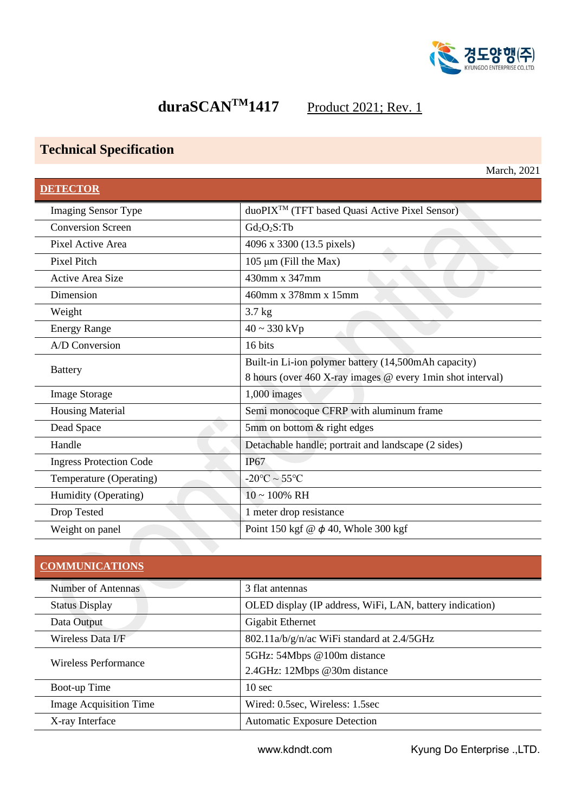

# **duraSCAN<sup>TM</sup>1417** Product 2021; Rev. 1

## **Technical Specification**

|                                | March, 2021                                                |
|--------------------------------|------------------------------------------------------------|
| <b>DETECTOR</b>                |                                                            |
| <b>Imaging Sensor Type</b>     | duoPIX <sup>TM</sup> (TFT based Quasi Active Pixel Sensor) |
| <b>Conversion Screen</b>       | $Gd_2O_2S$ :Tb                                             |
| Pixel Active Area              | 4096 x 3300 (13.5 pixels)                                  |
| <b>Pixel Pitch</b>             | $105 \mu m$ (Fill the Max)                                 |
| <b>Active Area Size</b>        | 430mm x 347mm                                              |
| Dimension                      | 460mm x 378mm x 15mm                                       |
| Weight                         | $3.7$ kg                                                   |
| <b>Energy Range</b>            | $40 \sim 330 \text{ kVp}$                                  |
| A/D Conversion                 | 16 bits                                                    |
| <b>Battery</b>                 | Built-in Li-ion polymer battery (14,500mAh capacity)       |
|                                | 8 hours (over 460 X-ray images @ every 1min shot interval) |
| <b>Image Storage</b>           | 1,000 images                                               |
| <b>Housing Material</b>        | Semi monocoque CFRP with aluminum frame                    |
| Dead Space                     | 5mm on bottom & right edges                                |
| Handle                         | Detachable handle; portrait and landscape (2 sides)        |
| <b>Ingress Protection Code</b> | IP67                                                       |
| Temperature (Operating)        | $-20^{\circ}$ C ~ 55 $^{\circ}$ C                          |
| Humidity (Operating)           | $10 \sim 100\% \text{ RH}$                                 |
| Drop Tested                    | 1 meter drop resistance                                    |
| Weight on panel                | Point 150 kgf @ $\phi$ 40, Whole 300 kgf                   |

| <b>COMMUNICATIONS</b>         |                                                          |  |
|-------------------------------|----------------------------------------------------------|--|
| Number of Antennas            | 3 flat antennas                                          |  |
| <b>Status Display</b>         | OLED display (IP address, WiFi, LAN, battery indication) |  |
| Data Output                   | Gigabit Ethernet                                         |  |
| Wireless Data I/F             | 802.11a/b/g/n/ac WiFi standard at 2.4/5GHz               |  |
| <b>Wireless Performance</b>   | 5GHz: 54Mbps @100m distance                              |  |
|                               | 2.4GHz: 12Mbps @30m distance                             |  |
| Boot-up Time                  | 10 <sub>sec</sub>                                        |  |
| <b>Image Acquisition Time</b> | Wired: 0.5sec, Wireless: 1.5sec                          |  |
| X-ray Interface               | <b>Automatic Exposure Detection</b>                      |  |

www.kdndt.com Kyung Do Enterprise .,LTD.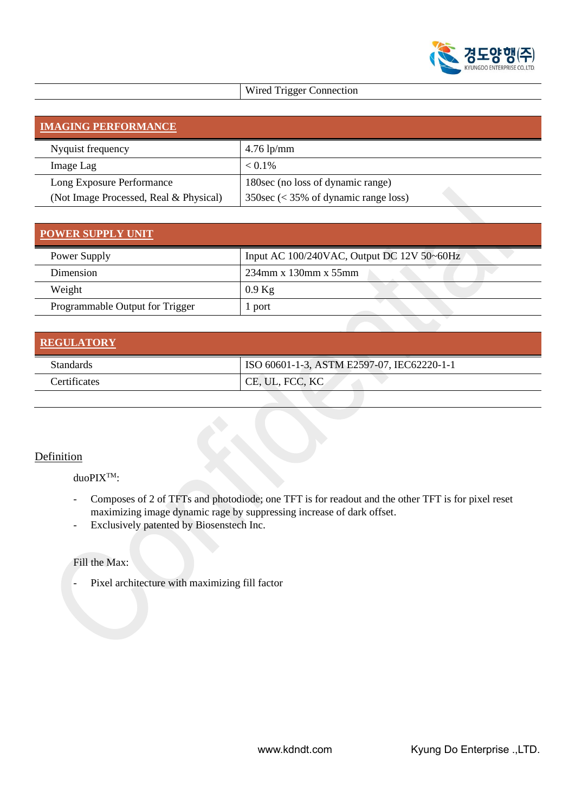

## Wired Trigger Connection

| <b>IMAGING PERFORMANCE</b>             |                                                        |  |  |
|----------------------------------------|--------------------------------------------------------|--|--|
| Nyquist frequency                      | $4.76$ lp/mm                                           |  |  |
| Image Lag                              | $< 0.1\%$                                              |  |  |
| Long Exposure Performance              | 180 sec (no loss of dynamic range)                     |  |  |
| (Not Image Processed, Real & Physical) | $350\sec \left( < 35\% \right)$ of dynamic range loss) |  |  |

## **POWER SUPPLY UNIT**

| Power Supply                    | Input AC 100/240VAC, Output DC 12V 50~60Hz |
|---------------------------------|--------------------------------------------|
| <b>Dimension</b>                | $234$ mm x 130mm x 55mm                    |
| Weight                          | $0.9$ Kg                                   |
| Programmable Output for Trigger | port                                       |

| <b>REGULATORY</b> |                                            |
|-------------------|--------------------------------------------|
| <b>Standards</b>  | ISO 60601-1-3, ASTM E2597-07, IEC62220-1-1 |
| Certificates      | CE, UL, FCC, KC                            |

### **Definition**

duoPIXTM:

- Composes of 2 of TFTs and photodiode; one TFT is for readout and the other TFT is for pixel reset maximizing image dynamic rage by suppressing increase of dark offset.
- Exclusively patented by Biosenstech Inc.

#### Fill the Max:

- Pixel architecture with maximizing fill factor